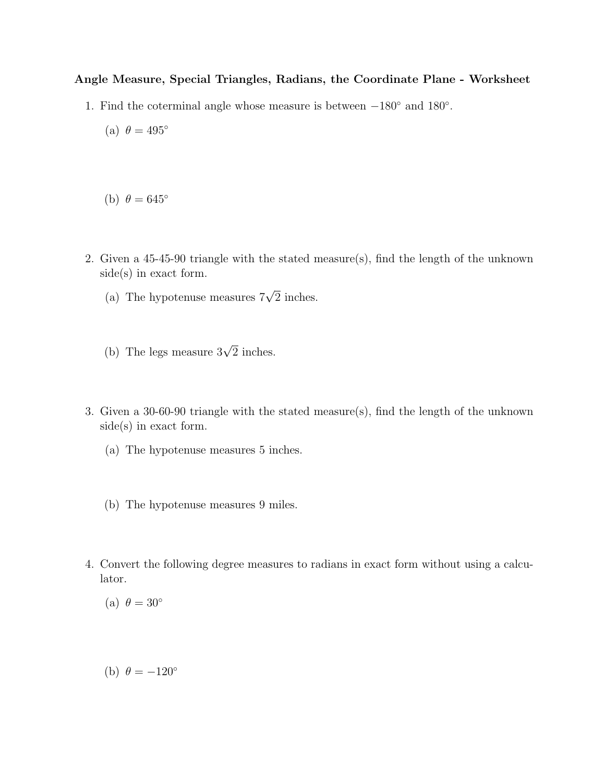## Angle Measure, Special Triangles, Radians, the Coordinate Plane - Worksheet

- 1. Find the coterminal angle whose measure is between −180◦ and 180◦ .
	- (a)  $\theta = 495^\circ$
	- (b)  $\theta = 645^\circ$
- 2. Given a 45-45-90 triangle with the stated measure(s), find the length of the unknown side(s) in exact form.
	- (a) The hypotenuse measures  $7\sqrt{2}$  inches.
	- (b) The legs measure  $3\sqrt{2}$  inches.
- 3. Given a 30-60-90 triangle with the stated measure(s), find the length of the unknown side(s) in exact form.
	- (a) The hypotenuse measures 5 inches.
	- (b) The hypotenuse measures 9 miles.
- 4. Convert the following degree measures to radians in exact form without using a calculator.

(a)  $\theta = 30^{\circ}$ 

(b)  $\theta = -120^\circ$